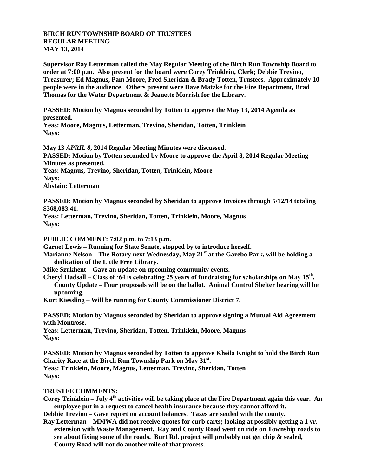## **BIRCH RUN TOWNSHIP BOARD OF TRUSTEES REGULAR MEETING MAY 13, 2014**

**Supervisor Ray Letterman called the May Regular Meeting of the Birch Run Township Board to order at 7:00 p.m. Also present for the board were Corey Trinklein, Clerk; Debbie Trevino, Treasurer; Ed Magnus, Pam Moore, Fred Sheridan & Brady Totten, Trustees. Approximately 10 people were in the audience. Others present were Dave Matzke for the Fire Department, Brad Thomas for the Water Department & Jeanette Morrish for the Library.**

**PASSED: Motion by Magnus seconded by Totten to approve the May 13, 2014 Agenda as presented.**

**Yeas: Moore, Magnus, Letterman, Trevino, Sheridan, Totten, Trinklein Nays:** 

**May 13** *APRIL 8***, 2014 Regular Meeting Minutes were discussed.**

**PASSED: Motion by Totten seconded by Moore to approve the April 8, 2014 Regular Meeting Minutes as presented.**

**Yeas: Magnus, Trevino, Sheridan, Totten, Trinklein, Moore Nays:** 

**Abstain: Letterman**

**PASSED: Motion by Magnus seconded by Sheridan to approve Invoices through 5/12/14 totaling \$368,083.41.**

**Yeas: Letterman, Trevino, Sheridan, Totten, Trinklein, Moore, Magnus Nays:**

**PUBLIC COMMENT: 7:02 p.m. to 7:13 p.m.**

**Garnet Lewis – Running for State Senate, stopped by to introduce herself.**

**Marianne Nelson – The Rotary next Wednesday, May 21st at the Gazebo Park, will be holding a dedication of the Little Free Library.**

**Mike Szukhent – Gave an update on upcoming community events.**

**Cheryl Hadsall – Class of '64 is celebrating 25 years of fundraising for scholarships on May 15th . County Update – Four proposals will be on the ballot. Animal Control Shelter hearing will be upcoming.**

**Kurt Kiessling – Will be running for County Commissioner District 7.**

**PASSED: Motion by Magnus seconded by Sheridan to approve signing a Mutual Aid Agreement with Montrose.**

**Yeas: Letterman, Trevino, Sheridan, Totten, Trinklein, Moore, Magnus Nays:**

**PASSED: Motion by Magnus seconded by Totten to approve Kheila Knight to hold the Birch Run Charity Race at the Birch Run Township Park on May 31st . Yeas: Trinklein, Moore, Magnus, Letterman, Trevino, Sheridan, Totten Nays:**

## **TRUSTEE COMMENTS:**

**Corey Trinklein – July 4th activities will be taking place at the Fire Department again this year. An employee put in a request to cancel health insurance because they cannot afford it. Debbie Trevino – Gave report on account balances. Taxes are settled with the county.**

**Ray Letterman – MMWA did not receive quotes for curb carts; looking at possibly getting a 1 yr. extension with Waste Management. Ray and County Road went on ride on Township roads to see about fixing some of the roads. Burt Rd. project will probably not get chip & sealed, County Road will not do another mile of that process.**